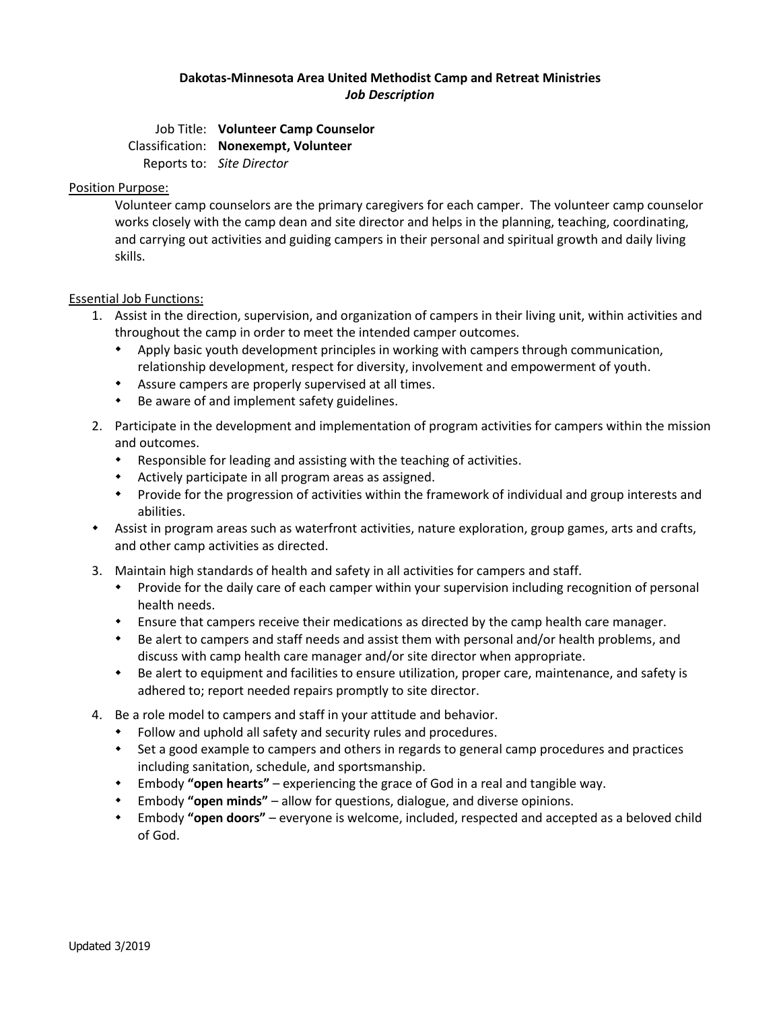# **Dakotas-Minnesota Area United Methodist Camp and Retreat Ministries** *Job Description*

Job Title: **Volunteer Camp Counselor** Classification: **Nonexempt, Volunteer** Reports to: *Site Director*

## Position Purpose:

Volunteer camp counselors are the primary caregivers for each camper. The volunteer camp counselor works closely with the camp dean and site director and helps in the planning, teaching, coordinating, and carrying out activities and guiding campers in their personal and spiritual growth and daily living skills.

## Essential Job Functions:

- 1. Assist in the direction, supervision, and organization of campers in their living unit, within activities and throughout the camp in order to meet the intended camper outcomes.
	- Apply basic youth development principles in working with campers through communication, relationship development, respect for diversity, involvement and empowerment of youth.
	- Assure campers are properly supervised at all times.
	- Be aware of and implement safety guidelines.
- 2. Participate in the development and implementation of program activities for campers within the mission and outcomes.
	- Responsible for leading and assisting with the teaching of activities.
	- Actively participate in all program areas as assigned.
	- Provide for the progression of activities within the framework of individual and group interests and abilities.
- Assist in program areas such as waterfront activities, nature exploration, group games, arts and crafts, and other camp activities as directed.
- 3. Maintain high standards of health and safety in all activities for campers and staff.
	- Provide for the daily care of each camper within your supervision including recognition of personal health needs.
	- Ensure that campers receive their medications as directed by the camp health care manager.
	- Be alert to campers and staff needs and assist them with personal and/or health problems, and discuss with camp health care manager and/or site director when appropriate.
	- Be alert to equipment and facilities to ensure utilization, proper care, maintenance, and safety is adhered to; report needed repairs promptly to site director.
- 4. Be a role model to campers and staff in your attitude and behavior.
	- Follow and uphold all safety and security rules and procedures.
	- \* Set a good example to campers and others in regards to general camp procedures and practices including sanitation, schedule, and sportsmanship.
	- Embody **"open hearts"** experiencing the grace of God in a real and tangible way.
	- Embody **"open minds"** allow for questions, dialogue, and diverse opinions.
	- Embody **"open doors"** everyone is welcome, included, respected and accepted as a beloved child of God.